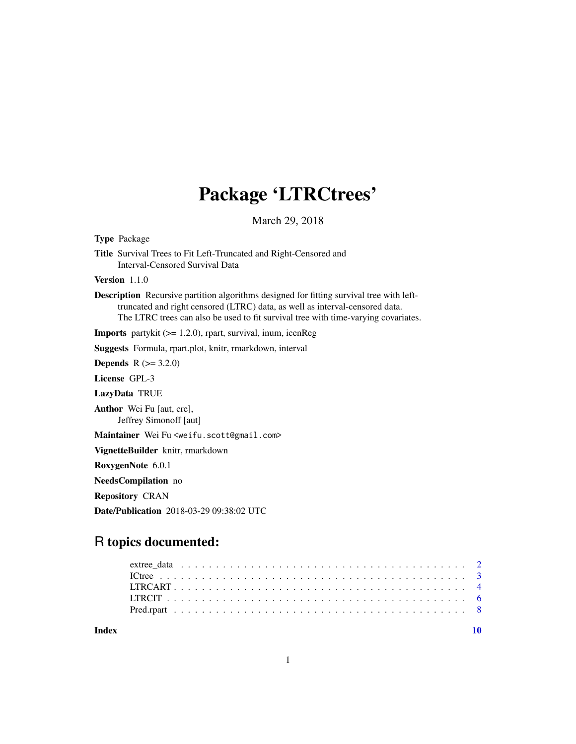## Package 'LTRCtrees'

March 29, 2018

<span id="page-0-0"></span>

| <b>Type Package</b>                                                                                                                                                                                                                                            |
|----------------------------------------------------------------------------------------------------------------------------------------------------------------------------------------------------------------------------------------------------------------|
| Title Survival Trees to Fit Left-Truncated and Right-Censored and<br>Interval-Censored Survival Data                                                                                                                                                           |
| Version $1.1.0$                                                                                                                                                                                                                                                |
| Description Recursive partition algorithms designed for fitting survival tree with left-<br>truncated and right censored (LTRC) data, as well as interval-censored data.<br>The LTRC trees can also be used to fit survival tree with time-varying covariates. |
| <b>Imports</b> partykit $(>= 1.2.0)$ , rpart, survival, inum, icenReg                                                                                                                                                                                          |
| <b>Suggests</b> Formula, rpart.plot, knitr, rmarkdown, interval                                                                                                                                                                                                |
| <b>Depends</b> $R (= 3.2.0)$                                                                                                                                                                                                                                   |
| License GPL-3                                                                                                                                                                                                                                                  |
| LazyData TRUE                                                                                                                                                                                                                                                  |
| <b>Author</b> Wei Fu [aut, cre],<br>Jeffrey Simonoff [aut]                                                                                                                                                                                                     |
| Maintainer Wei Fu <weifu.scott@gmail.com></weifu.scott@gmail.com>                                                                                                                                                                                              |
| VignetteBuilder knitr, rmarkdown                                                                                                                                                                                                                               |
| RoxygenNote 6.0.1                                                                                                                                                                                                                                              |
| NeedsCompilation no                                                                                                                                                                                                                                            |
| <b>Repository CRAN</b>                                                                                                                                                                                                                                         |
| <b>Date/Publication</b> 2018-03-29 09:38:02 UTC                                                                                                                                                                                                                |
|                                                                                                                                                                                                                                                                |
| <b>R</b> topics documented:                                                                                                                                                                                                                                    |

## extree\_data . . . . . . . . . . . . . . . . . . . . . . . . . . . . . . . . . . . . . . . . . [2](#page-1-0) ICtree . . . . . . . . . . . . . . . . . . . . . . . . . . . . . . . . . . . . . . . . . . . . [3](#page-2-0) LTRCART . . . . . . . . . . . . . . . . . . . . . . . . . . . . . . . . . . . . . . . . . . [4](#page-3-0) LTRCIT . . . . . . . . . . . . . . . . . . . . . . . . . . . . . . . . . . . . . . . . . . . [6](#page-5-0) Pred.rpart . . . . . . . . . . . . . . . . . . . . . . . . . . . . . . . . . . . . . . . . . . [8](#page-7-0)

 $\blacksquare$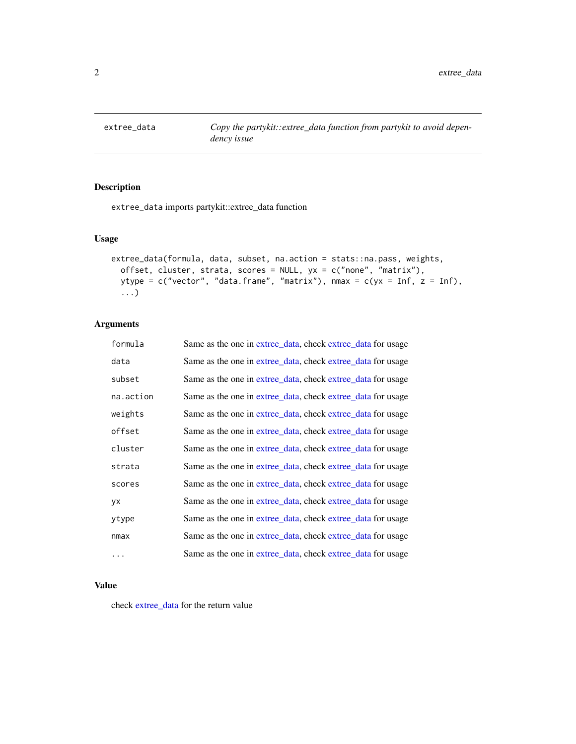<span id="page-1-1"></span><span id="page-1-0"></span>

## Description

extree\_data imports partykit::extree\_data function

## Usage

```
extree_data(formula, data, subset, na.action = stats::na.pass, weights,
 offset, cluster, strata, scores = NULL, yx = c("none", "matrix"),ytype = c("vector", "data-frame", "matrix"), nmax = c(yx = Inf, z = Inf),...)
```
## Arguments

| formula   | Same as the one in extree_data, check extree_data for usage |
|-----------|-------------------------------------------------------------|
| data      | Same as the one in extree data, check extree data for usage |
| subset    | Same as the one in extree_data, check extree_data for usage |
| na.action | Same as the one in extree_data, check extree_data for usage |
| weights   | Same as the one in extree_data, check extree_data for usage |
| offset    | Same as the one in extree_data, check extree_data for usage |
| cluster   | Same as the one in extree data, check extree data for usage |
| strata    | Same as the one in extree_data, check extree_data for usage |
| scores    | Same as the one in extree_data, check extree_data for usage |
| уx        | Same as the one in extree_data, check extree_data for usage |
| ytype     | Same as the one in extree_data, check extree_data for usage |
| nmax      | Same as the one in extree_data, check extree_data for usage |
| $\ddots$  | Same as the one in extree data, check extree data for usage |

## Value

check [extree\\_data](#page-1-1) for the return value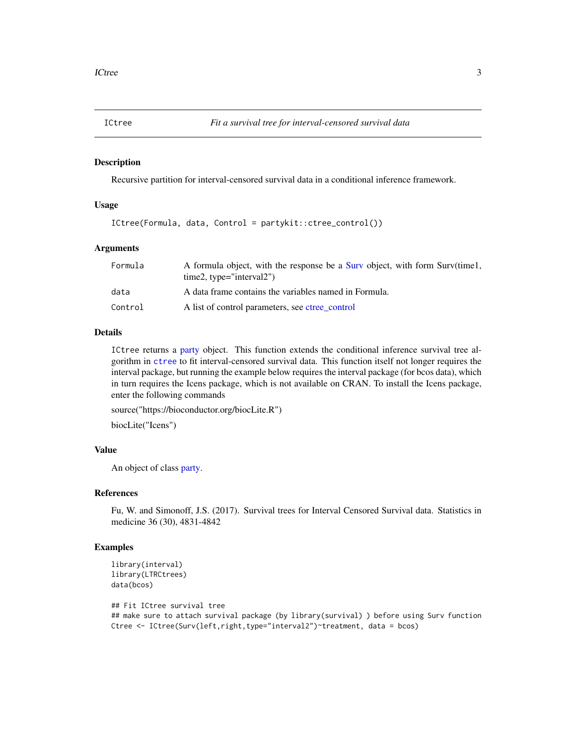<span id="page-2-0"></span>

#### Description

Recursive partition for interval-censored survival data in a conditional inference framework.

## Usage

ICtree(Formula, data, Control = partykit::ctree\_control())

## Arguments

| Formula | A formula object, with the response be a Surv object, with form Surv(time1,<br>$time2$ , type="interval2") |
|---------|------------------------------------------------------------------------------------------------------------|
| data    | A data frame contains the variables named in Formula.                                                      |
| Control | A list of control parameters, see ctree control                                                            |

## Details

ICtree returns a [party](#page-0-0) object. This function extends the conditional inference survival tree algorithm in [ctree](#page-0-0) to fit interval-censored survival data. This function itself not longer requires the interval package, but running the example below requires the interval package (for bcos data), which in turn requires the Icens package, which is not available on CRAN. To install the Icens package, enter the following commands

source("https://bioconductor.org/biocLite.R")

biocLite("Icens")

## Value

An object of class [party.](#page-0-0)

## References

Fu, W. and Simonoff, J.S. (2017). Survival trees for Interval Censored Survival data. Statistics in medicine 36 (30), 4831-4842

```
library(interval)
library(LTRCtrees)
data(bcos)
## Fit ICtree survival tree
## make sure to attach survival package (by library(survival) ) before using Surv function
Ctree <- ICtree(Surv(left,right,type="interval2")~treatment, data = bcos)
```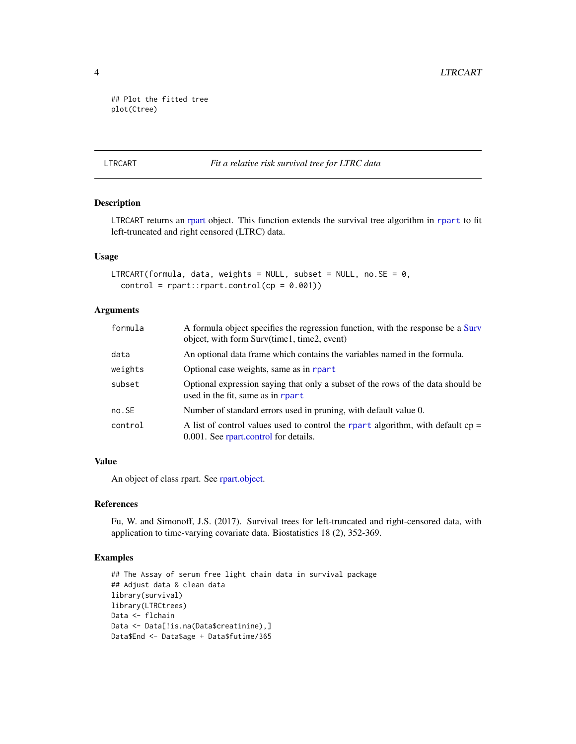```
## Plot the fitted tree
plot(Ctree)
```
#### LTRCART *Fit a relative risk survival tree for LTRC data*

## Description

LTRCART returns an [rpart](#page-0-0) object. This function extends the survival tree algorithm in [rpart](#page-0-0) to fit left-truncated and right censored (LTRC) data.

## Usage

```
LTRCART(formula, data, weights = NULL, subset = NULL, no. SE = 0,
  control = rpart::rpart.control(cp = 0.001))
```
## Arguments

| formula  | A formula object specifies the regression function, with the response be a Surv<br>object, with form Surv(time1, time2, event) |
|----------|--------------------------------------------------------------------------------------------------------------------------------|
| data     | An optional data frame which contains the variables named in the formula.                                                      |
| weights  | Optional case weights, same as in rpart                                                                                        |
| subset   | Optional expression saying that only a subset of the rows of the data should be<br>used in the fit, same as in rpart           |
| $no.$ SE | Number of standard errors used in pruning, with default value 0.                                                               |
| control  | A list of control values used to control the rpart algorithm, with default $cp =$<br>0.001. See rpart.control for details.     |

## Value

An object of class rpart. See [rpart.object.](#page-0-0)

## References

Fu, W. and Simonoff, J.S. (2017). Survival trees for left-truncated and right-censored data, with application to time-varying covariate data. Biostatistics 18 (2), 352-369.

```
## The Assay of serum free light chain data in survival package
## Adjust data & clean data
library(survival)
library(LTRCtrees)
Data <- flchain
Data <- Data[!is.na(Data$creatinine),]
Data$End <- Data$age + Data$futime/365
```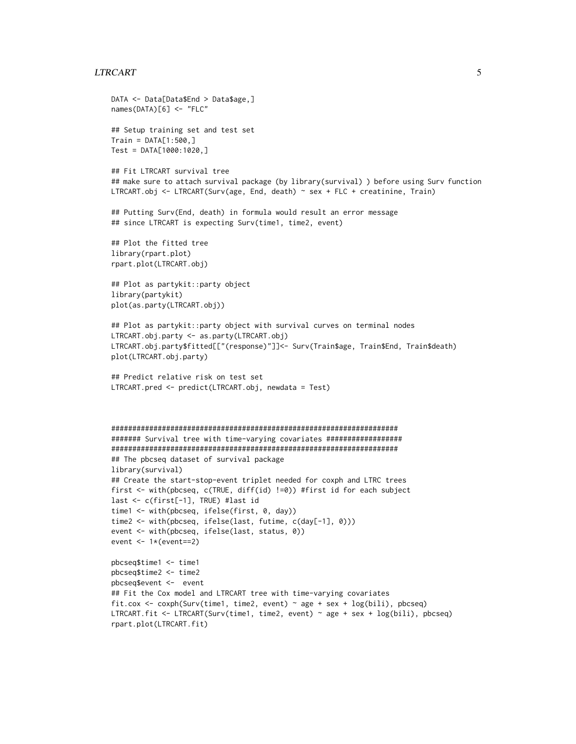## LTRCART 5

```
DATA <- Data[Data$End > Data$age,]
names(DATA)[6] <- "FLC"
## Setup training set and test set
Train = DATA[1:500, ]Test = DATA[1000:1020,]
## Fit LTRCART survival tree
## make sure to attach survival package (by library(survival) ) before using Surv function
LTRCART.obj <- LTRCART(Surv(age, End, death) ~ sex + FLC + creatinine, Train)
## Putting Surv(End, death) in formula would result an error message
## since LTRCART is expecting Surv(time1, time2, event)
## Plot the fitted tree
library(rpart.plot)
rpart.plot(LTRCART.obj)
## Plot as partykit::party object
library(partykit)
plot(as.party(LTRCART.obj))
## Plot as partykit::party object with survival curves on terminal nodes
LTRCART.obj.party <- as.party(LTRCART.obj)
LTRCART.obj.party$fitted[["(response)"]]<- Surv(Train$age, Train$End, Train$death)
plot(LTRCART.obj.party)
## Predict relative risk on test set
LTRCART.pred <- predict(LTRCART.obj, newdata = Test)
####################################################################
####### Survival tree with time-varying covariates ##################
####################################################################
## The pbcseq dataset of survival package
library(survival)
## Create the start-stop-event triplet needed for coxph and LTRC trees
first <- with(pbcseq, c(TRUE, diff(id) !=0)) #first id for each subject
last <- c(first[-1], TRUE) #last id
time1 <- with(pbcseq, ifelse(first, 0, day))
time2 <- with(pbcseq, ifelse(last, futime, c(day[-1], 0)))
event <- with(pbcseq, ifelse(last, status, 0))
event <- 1*(event==2)
pbcseq$time1 <- time1
pbcseq$time2 <- time2
pbcseq$event <- event
## Fit the Cox model and LTRCART tree with time-varying covariates
fit.cox <- coxph(Surv(time1, time2, event) ~ age + sex + log(bili), pbcseq)
LTRCART.fit <- LTRCART(Surv(time1, time2, event) ~ age + sex + log(bili), pbcseq)
rpart.plot(LTRCART.fit)
```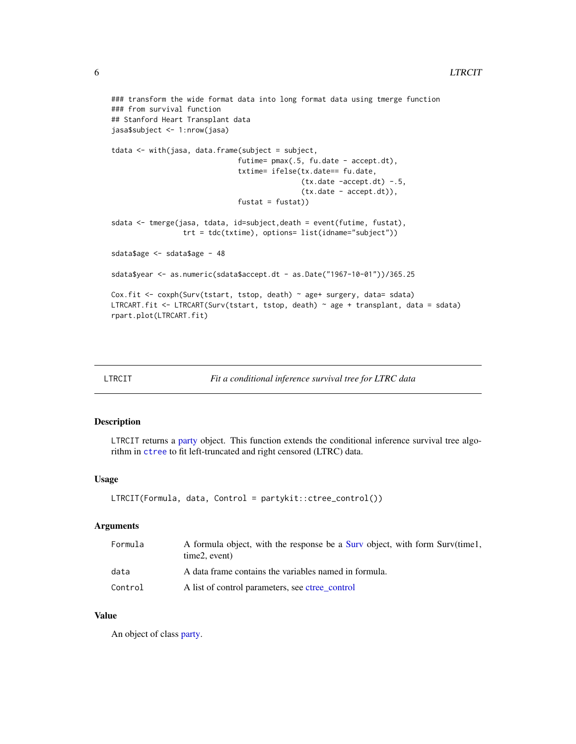## <span id="page-5-0"></span>6 LTRCIT

```
### transform the wide format data into long format data using tmerge function
### from survival function
## Stanford Heart Transplant data
jasa$subject <- 1:nrow(jasa)
tdata <- with(jasa, data.frame(subject = subject,
                              futime= pmax(.5, fu.date - accept.dt),
                              txtime= ifelse(tx.date== fu.date,
                                             (tx.date -accept.dt) -.5,(tx.date - accept.dt)),
                              fustat = fustat)sdata <- tmerge(jasa, tdata, id=subject,death = event(futime, fustat),
                 trt = tdc(txtime), options= list(idname="subject"))
sdata$age <- sdata$age - 48
sdata$year <- as.numeric(sdata$accept.dt - as.Date("1967-10-01"))/365.25
Cox.fit <- coxph(Surv(tstart, tstop, death) ~ age+ surgery, data= sdata)
LTRCART.fit <- LTRCART(Surv(tstart, tstop, death) ~ age + transplant, data = sdata)
rpart.plot(LTRCART.fit)
```

| LTRCIT |  | Fit a conditional inference survival tree for LTRC data |
|--------|--|---------------------------------------------------------|
|--------|--|---------------------------------------------------------|

## Description

LTRCIT returns a [party](#page-0-0) object. This function extends the conditional inference survival tree algorithm in [ctree](#page-0-0) to fit left-truncated and right censored (LTRC) data.

## Usage

```
LTRCIT(Formula, data, Control = partykit::ctree_control())
```
## Arguments

| Formula | A formula object, with the response be a Surv object, with form Surv(time1,<br>time2, event) |
|---------|----------------------------------------------------------------------------------------------|
| data    | A data frame contains the variables named in formula.                                        |
| Control | A list of control parameters, see ctree_control                                              |

## Value

An object of class [party.](#page-0-0)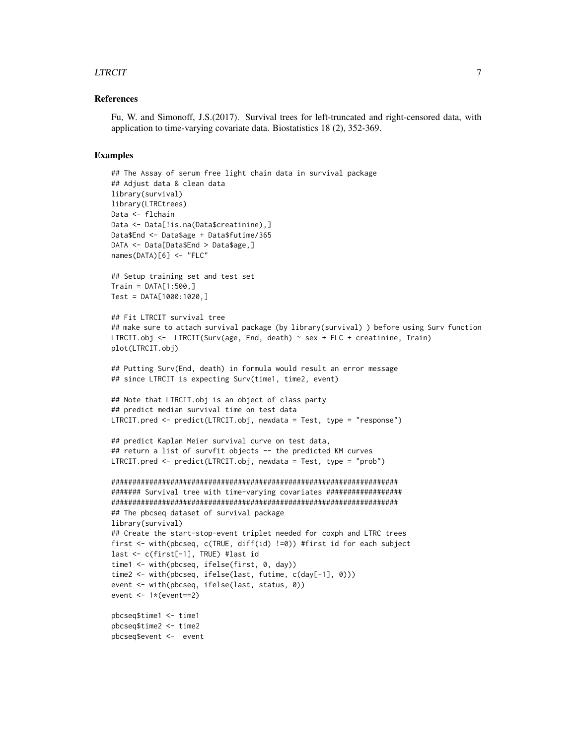## LTRCIT 7

#### References

Fu, W. and Simonoff, J.S.(2017). Survival trees for left-truncated and right-censored data, with application to time-varying covariate data. Biostatistics 18 (2), 352-369.

```
## The Assay of serum free light chain data in survival package
## Adjust data & clean data
library(survival)
library(LTRCtrees)
Data <- flchain
Data <- Data[!is.na(Data$creatinine),]
Data$End <- Data$age + Data$futime/365
DATA <- Data[Data$End > Data$age,]
names(DATA)[6] <- "FLC"
## Setup training set and test set
Train = DATA[1:500.]Test = DATA[1000:1020,]
## Fit LTRCIT survival tree
## make sure to attach survival package (by library(survival) ) before using Surv function
LTRCIT.obj <- LTRCIT(Surv(age, End, death) ~ sex + FLC + creatinine, Train)
plot(LTRCIT.obj)
## Putting Surv(End, death) in formula would result an error message
## since LTRCIT is expecting Surv(time1, time2, event)
## Note that LTRCIT.obj is an object of class party
## predict median survival time on test data
LTRCIT.pred <- predict(LTRCIT.obj, newdata = Test, type = "response")
## predict Kaplan Meier survival curve on test data,
## return a list of survfit objects -- the predicted KM curves
LTRCIT.pred <- predict(LTRCIT.obj, newdata = Test, type = "prob")
####################################################################
####### Survival tree with time-varying covariates ##################
####################################################################
## The pbcseq dataset of survival package
library(survival)
## Create the start-stop-event triplet needed for coxph and LTRC trees
first <- with(pbcseq, c(TRUE, diff(id) !=0)) #first id for each subject
last <- c(first[-1], TRUE) #last id
time1 <- with(pbcseq, ifelse(first, 0, day))
time2 <- with(pbcseq, ifelse(last, futime, c(day[-1], 0)))
event <- with(pbcseq, ifelse(last, status, 0))
event <- 1*(event==2)
pbcseq$time1 <- time1
pbcseq$time2 <- time2
pbcseq$event <- event
```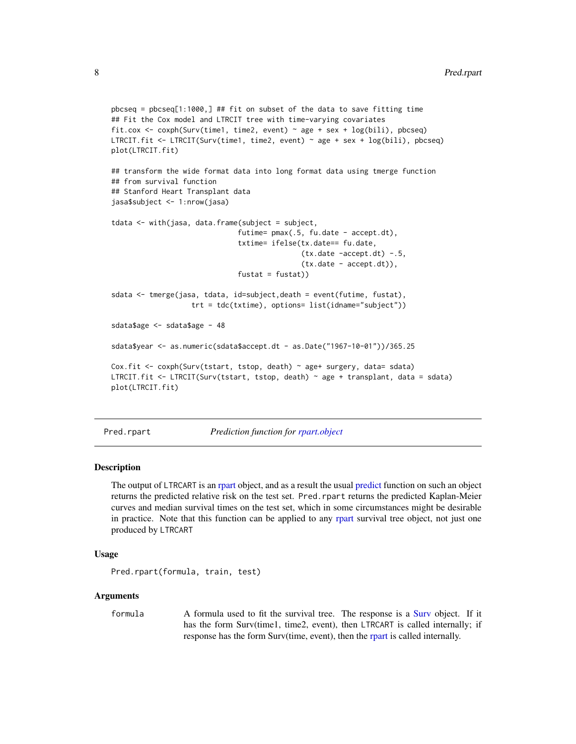```
pbcseq = pbcseq[1:1000,] ## fit on subset of the data to save fitting time
## Fit the Cox model and LTRCIT tree with time-varying covariates
fit.cox <- coxph(Surv(time1, time2, event) ~ age + sex + log(bili), pbcseq)
LTRCIT.fit <- LTRCIT(Surv(time1, time2, event) ~ age + sex + log(bili), pbcseq)
plot(LTRCIT.fit)
## transform the wide format data into long format data using tmerge function
## from survival function
## Stanford Heart Transplant data
jasa$subject <- 1:nrow(jasa)
tdata < - with(jasa, data.frame(subject = subject,
                              futime= pmax(.5, fu.date - accept.dt),
                              txtime= ifelse(tx.date== fu.date,
                                             (tx.date -accept.dt) -.5,
                                             (tx.date - accept.dt)),
                              fustat = fustat)sdata <- tmerge(jasa, tdata, id=subject,death = event(futime, fustat),
                   trt = tdc(txtime), options= list(idname="subject"))
sdata$age <- sdata$age - 48
sdata$year <- as.numeric(sdata$accept.dt - as.Date("1967-10-01"))/365.25
Cox.fit <- coxph(Surv(tstart, tstop, death) ~ age+ surgery, data= sdata)
LTRCIT.fit <- LTRCIT(Surv(tstart, tstop, death) ~ age + transplant, data = sdata)
plot(LTRCIT.fit)
```
Pred.rpart *Prediction function for [rpart.object](#page-0-0)*

#### Description

The output of LTRCART is an [rpart](#page-0-0) object, and as a result the usual [predict](#page-0-0) function on such an object returns the predicted relative risk on the test set. Pred.rpart returns the predicted Kaplan-Meier curves and median survival times on the test set, which in some circumstances might be desirable in practice. Note that this function can be applied to any [rpart](#page-0-0) survival tree object, not just one produced by LTRCART

## Usage

```
Pred.rpart(formula, train, test)
```
#### Arguments

formula A formula used to fit the survival tree. The response is a [Surv](#page-0-0) object. If it has the form Surv(time1, time2, event), then LTRCART is called internally; if response has the form Surv(time, event), then the [rpart](#page-0-0) is called internally.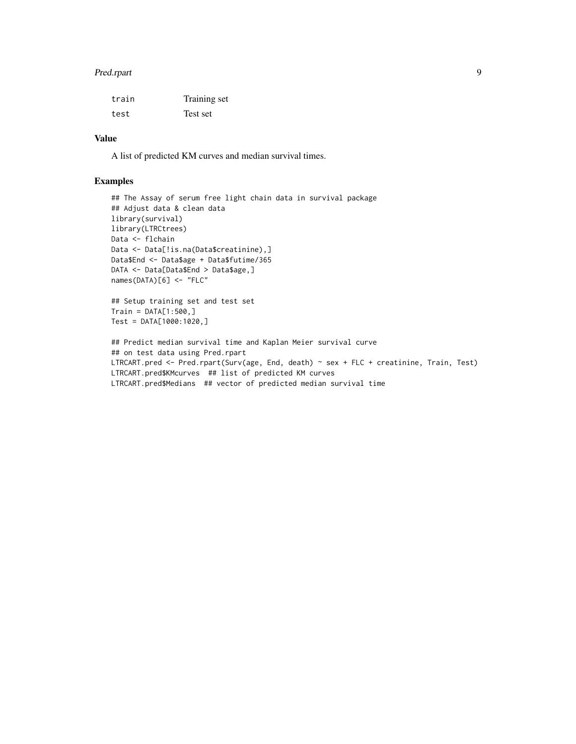#### Pred.rpart 99 and 2008 and 2008 and 2008 and 2008 and 2008 and 2008 and 2008 and 2008 and 2008 and 2008 and 20

| train | Training set |
|-------|--------------|
| test  | Test set     |

## Value

A list of predicted KM curves and median survival times.

```
## The Assay of serum free light chain data in survival package
## Adjust data & clean data
library(survival)
library(LTRCtrees)
Data <- flchain
Data <- Data[!is.na(Data$creatinine),]
Data$End <- Data$age + Data$futime/365
DATA <- Data[Data$End > Data$age,]
names(DATA)[6] <- "FLC"
## Setup training set and test set
Train = DATA[1:500, ]Test = DATA[1000:1020,]
## Predict median survival time and Kaplan Meier survival curve
## on test data using Pred.rpart
LTRCART.pred <- Pred.rpart(Surv(age, End, death) ~ sex + FLC + creatinine, Train, Test)
LTRCART.pred$KMcurves ## list of predicted KM curves
LTRCART.pred$Medians ## vector of predicted median survival time
```